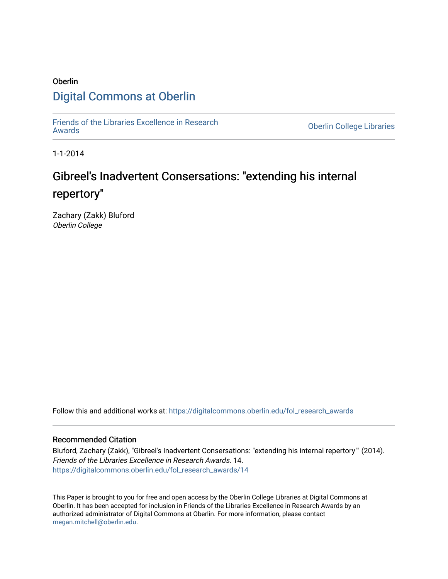## Oberlin [Digital Commons at Oberlin](https://digitalcommons.oberlin.edu/)

[Friends of the Libraries Excellence in Research](https://digitalcommons.oberlin.edu/fol_research_awards)

**Oberlin College Libraries** 

1-1-2014

# Gibreel's Inadvertent Consersations: "extending his internal repertory"

Zachary (Zakk) Bluford Oberlin College

Follow this and additional works at: [https://digitalcommons.oberlin.edu/fol\\_research\\_awards](https://digitalcommons.oberlin.edu/fol_research_awards?utm_source=digitalcommons.oberlin.edu%2Ffol_research_awards%2F14&utm_medium=PDF&utm_campaign=PDFCoverPages)

## Recommended Citation

Bluford, Zachary (Zakk), "Gibreel's Inadvertent Consersations: "extending his internal repertory"" (2014). Friends of the Libraries Excellence in Research Awards. 14. [https://digitalcommons.oberlin.edu/fol\\_research\\_awards/14](https://digitalcommons.oberlin.edu/fol_research_awards/14?utm_source=digitalcommons.oberlin.edu%2Ffol_research_awards%2F14&utm_medium=PDF&utm_campaign=PDFCoverPages) 

This Paper is brought to you for free and open access by the Oberlin College Libraries at Digital Commons at Oberlin. It has been accepted for inclusion in Friends of the Libraries Excellence in Research Awards by an authorized administrator of Digital Commons at Oberlin. For more information, please contact [megan.mitchell@oberlin.edu](mailto:megan.mitchell@oberlin.edu).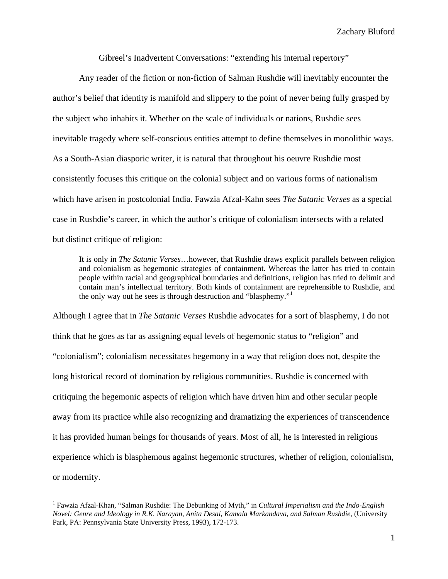#### Gibreel's Inadvertent Conversations: "extending his internal repertory"

 Any reader of the fiction or non-fiction of Salman Rushdie will inevitably encounter the author's belief that identity is manifold and slippery to the point of never being fully grasped by the subject who inhabits it. Whether on the scale of individuals or nations, Rushdie sees inevitable tragedy where self-conscious entities attempt to define themselves in monolithic ways. As a South-Asian diasporic writer, it is natural that throughout his oeuvre Rushdie most consistently focuses this critique on the colonial subject and on various forms of nationalism which have arisen in postcolonial India. Fawzia Afzal-Kahn sees *The Satanic Verses* as a special case in Rushdie's career, in which the author's critique of colonialism intersects with a related but distinct critique of religion:

It is only in *The Satanic Verses*…however, that Rushdie draws explicit parallels between religion and colonialism as hegemonic strategies of containment. Whereas the latter has tried to contain people within racial and geographical boundaries and definitions, religion has tried to delimit and contain man's intellectual territory. Both kinds of containment are reprehensible to Rushdie, and the only way out he sees is through destruction and "blasphemy."[1](#page-1-0)

Although I agree that in *The Satanic Verses* Rushdie advocates for a sort of blasphemy, I do not think that he goes as far as assigning equal levels of hegemonic status to "religion" and "colonialism"; colonialism necessitates hegemony in a way that religion does not, despite the long historical record of domination by religious communities. Rushdie is concerned with critiquing the hegemonic aspects of religion which have driven him and other secular people away from its practice while also recognizing and dramatizing the experiences of transcendence it has provided human beings for thousands of years. Most of all, he is interested in religious experience which is blasphemous against hegemonic structures, whether of religion, colonialism, or modernity.

<span id="page-1-0"></span><sup>&</sup>lt;sup>1</sup> Fawzia Afzal-Khan, "Salman Rushdie: The Debunking of Myth," in *Cultural Imperialism and the Indo-English Novel: Genre and Ideology in R.K. Narayan, Anita Desai, Kamala Markandava, and Salman Rushdie*, (University Park, PA: Pennsylvania State University Press, 1993), 172-173.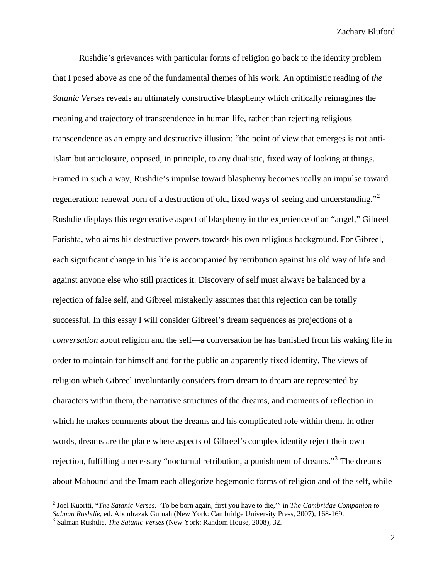Rushdie's grievances with particular forms of religion go back to the identity problem that I posed above as one of the fundamental themes of his work. An optimistic reading of *the Satanic Verses* reveals an ultimately constructive blasphemy which critically reimagines the meaning and trajectory of transcendence in human life, rather than rejecting religious transcendence as an empty and destructive illusion: "the point of view that emerges is not anti-Islam but anticlosure, opposed, in principle, to any dualistic, fixed way of looking at things. Framed in such a way, Rushdie's impulse toward blasphemy becomes really an impulse toward regeneration: renewal born of a destruction of old, fixed ways of seeing and understanding."<sup>[2](#page-2-0)</sup> Rushdie displays this regenerative aspect of blasphemy in the experience of an "angel," Gibreel Farishta, who aims his destructive powers towards his own religious background. For Gibreel, each significant change in his life is accompanied by retribution against his old way of life and against anyone else who still practices it. Discovery of self must always be balanced by a rejection of false self, and Gibreel mistakenly assumes that this rejection can be totally successful. In this essay I will consider Gibreel's dream sequences as projections of a *conversation* about religion and the self—a conversation he has banished from his waking life in order to maintain for himself and for the public an apparently fixed identity. The views of religion which Gibreel involuntarily considers from dream to dream are represented by characters within them, the narrative structures of the dreams, and moments of reflection in which he makes comments about the dreams and his complicated role within them. In other words, dreams are the place where aspects of Gibreel's complex identity reject their own rejection, fulfilling a necessary "nocturnal retribution, a punishment of dreams."<sup>[3](#page-2-1)</sup> The dreams about Mahound and the Imam each allegorize hegemonic forms of religion and of the self, while

<span id="page-2-0"></span><sup>2</sup> Joel Kuortti, "*The Satanic Verses:* 'To be born again, first you have to die,'" in *The Cambridge Companion to Salman Rushdie*, ed. Abdulrazak Gurnah (New York: Cambridge University Press, 2007), 168-169. 3

<span id="page-2-1"></span>Salman Rushdie, *The Satanic Verses* (New York: Random House, 2008), 32.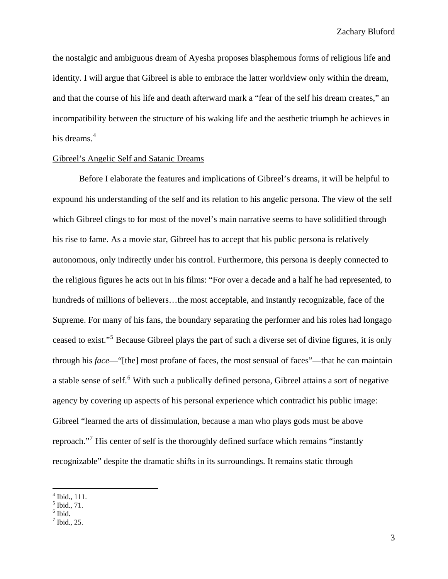the nostalgic and ambiguous dream of Ayesha proposes blasphemous forms of religious life and identity. I will argue that Gibreel is able to embrace the latter worldview only within the dream, and that the course of his life and death afterward mark a "fear of the self his dream creates," an incompatibility between the structure of his waking life and the aesthetic triumph he achieves in his dreams. $4$ 

#### Gibreel's Angelic Self and Satanic Dreams

 Before I elaborate the features and implications of Gibreel's dreams, it will be helpful to expound his understanding of the self and its relation to his angelic persona. The view of the self which Gibreel clings to for most of the novel's main narrative seems to have solidified through his rise to fame. As a movie star, Gibreel has to accept that his public persona is relatively autonomous, only indirectly under his control. Furthermore, this persona is deeply connected to the religious figures he acts out in his films: "For over a decade and a half he had represented, to hundreds of millions of believers...the most acceptable, and instantly recognizable, face of the Supreme. For many of his fans, the boundary separating the performer and his roles had longago ceased to exist."<sup>[5](#page-3-1)</sup> Because Gibreel plays the part of such a diverse set of divine figures, it is only through his *face*—"[the] most profane of faces, the most sensual of faces"—that he can maintain a stable sense of self.<sup>[6](#page-3-2)</sup> With such a publically defined persona, Gibreel attains a sort of negative agency by covering up aspects of his personal experience which contradict his public image: Gibreel "learned the arts of dissimulation, because a man who plays gods must be above reproach."<sup>[7](#page-3-3)</sup> His center of self is the thoroughly defined surface which remains "instantly recognizable" despite the dramatic shifts in its surroundings. It remains static through

<sup>4</sup> Ibid., 111.

<span id="page-3-2"></span><span id="page-3-1"></span><span id="page-3-0"></span><sup>5</sup> Ibid., 71.

 $<sup>6</sup>$  Ibid.</sup>

<span id="page-3-3"></span> $^7$  Ibid., 25.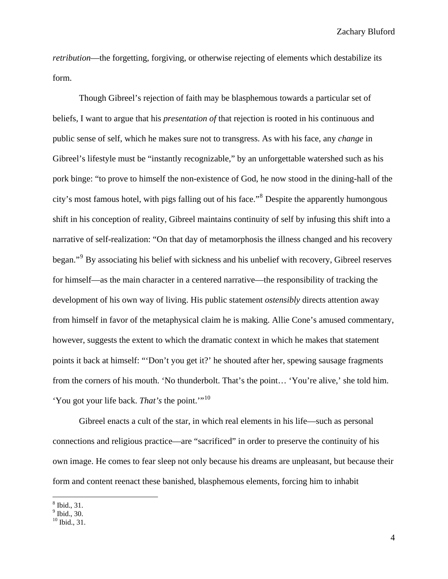*retribution*—the forgetting, forgiving, or otherwise rejecting of elements which destabilize its form.

 Though Gibreel's rejection of faith may be blasphemous towards a particular set of beliefs, I want to argue that his *presentation of* that rejection is rooted in his continuous and public sense of self, which he makes sure not to transgress. As with his face, any *change* in Gibreel's lifestyle must be "instantly recognizable," by an unforgettable watershed such as his pork binge: "to prove to himself the non-existence of God, he now stood in the dining-hall of the city's most famous hotel, with pigs falling out of his face."<sup>[8](#page-4-0)</sup> Despite the apparently humongous shift in his conception of reality, Gibreel maintains continuity of self by infusing this shift into a narrative of self-realization: "On that day of metamorphosis the illness changed and his recovery began."<sup>[9](#page-4-1)</sup> By associating his belief with sickness and his unbelief with recovery, Gibreel reserves for himself—as the main character in a centered narrative—the responsibility of tracking the development of his own way of living. His public statement *ostensibly* directs attention away from himself in favor of the metaphysical claim he is making. Allie Cone's amused commentary, however, suggests the extent to which the dramatic context in which he makes that statement points it back at himself: "'Don't you get it?' he shouted after her, spewing sausage fragments from the corners of his mouth. 'No thunderbolt. That's the point… 'You're alive,' she told him. 'You got your life back. *That's* the point.'"[10](#page-4-2)

Gibreel enacts a cult of the star, in which real elements in his life—such as personal connections and religious practice—are "sacrificed" in order to preserve the continuity of his own image. He comes to fear sleep not only because his dreams are unpleasant, but because their form and content reenact these banished, blasphemous elements, forcing him to inhabit

<span id="page-4-0"></span><sup>8</sup> Ibid., 31.

<span id="page-4-1"></span><sup>9</sup> Ibid., 30.

<span id="page-4-2"></span> $^{10}$  Ibid., 31.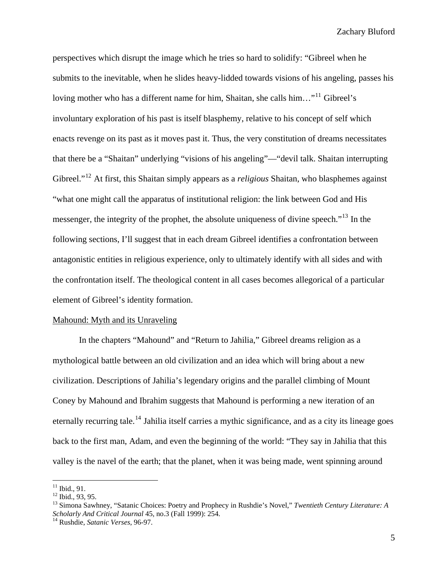perspectives which disrupt the image which he tries so hard to solidify: "Gibreel when he submits to the inevitable, when he slides heavy-lidded towards visions of his angeling, passes his loving mother who has a different name for him, Shaitan, she calls him..."<sup>[11](#page-5-0)</sup> Gibreel's involuntary exploration of his past is itself blasphemy, relative to his concept of self which enacts revenge on its past as it moves past it. Thus, the very constitution of dreams necessitates that there be a "Shaitan" underlying "visions of his angeling"—"devil talk. Shaitan interrupting Gibreel."[12](#page-5-1) At first, this Shaitan simply appears as a *religious* Shaitan, who blasphemes against "what one might call the apparatus of institutional religion: the link between God and His messenger, the integrity of the prophet, the absolute uniqueness of divine speech."<sup>[13](#page-5-2)</sup> In the following sections, I'll suggest that in each dream Gibreel identifies a confrontation between antagonistic entities in religious experience, only to ultimately identify with all sides and with the confrontation itself. The theological content in all cases becomes allegorical of a particular element of Gibreel's identity formation.

#### Mahound: Myth and its Unraveling

 In the chapters "Mahound" and "Return to Jahilia," Gibreel dreams religion as a mythological battle between an old civilization and an idea which will bring about a new civilization. Descriptions of Jahilia's legendary origins and the parallel climbing of Mount Coney by Mahound and Ibrahim suggests that Mahound is performing a new iteration of an eternally recurring tale.<sup>[14](#page-5-3)</sup> Jahilia itself carries a mythic significance, and as a city its lineage goes back to the first man, Adam, and even the beginning of the world: "They say in Jahilia that this valley is the navel of the earth; that the planet, when it was being made, went spinning around

<span id="page-5-0"></span> $11$  Ibid., 91.

<span id="page-5-1"></span> $12$  Ibid., 93, 95.

<span id="page-5-2"></span><sup>13</sup> Simona Sawhney, "Satanic Choices: Poetry and Prophecy in Rushdie's Novel," *Twentieth Century Literature: A Scholarly And Critical Journal* 45, no.3 (Fall 1999): 254. 14 Rushdie, *Satanic Verses*, 96-97.

<span id="page-5-3"></span>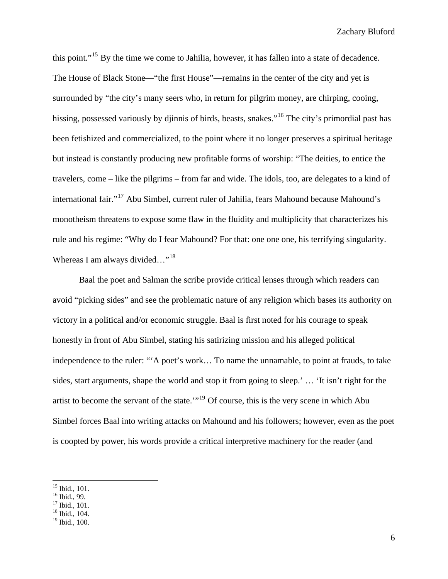this point."[15](#page-6-0) By the time we come to Jahilia, however, it has fallen into a state of decadence. The House of Black Stone—"the first House"—remains in the center of the city and yet is surrounded by "the city's many seers who, in return for pilgrim money, are chirping, cooing, hissing, possessed variously by djinnis of birds, beasts, snakes."<sup>[16](#page-6-1)</sup> The city's primordial past has been fetishized and commercialized, to the point where it no longer preserves a spiritual heritage but instead is constantly producing new profitable forms of worship: "The deities, to entice the travelers, come – like the pilgrims – from far and wide. The idols, too, are delegates to a kind of international fair."[17](#page-6-2) Abu Simbel, current ruler of Jahilia, fears Mahound because Mahound's monotheism threatens to expose some flaw in the fluidity and multiplicity that characterizes his rule and his regime: "Why do I fear Mahound? For that: one one one, his terrifying singularity. Whereas I am always divided..."<sup>[18](#page-6-3)</sup>

Baal the poet and Salman the scribe provide critical lenses through which readers can avoid "picking sides" and see the problematic nature of any religion which bases its authority on victory in a political and/or economic struggle. Baal is first noted for his courage to speak honestly in front of Abu Simbel, stating his satirizing mission and his alleged political independence to the ruler: "'A poet's work… To name the unnamable, to point at frauds, to take sides, start arguments, shape the world and stop it from going to sleep.' … 'It isn't right for the artist to become the servant of the state.'"[19](#page-6-4) Of course, this is the very scene in which Abu Simbel forces Baal into writing attacks on Mahound and his followers; however, even as the poet is coopted by power, his words provide a critical interpretive machinery for the reader (and

16 Ibid., 99.

<span id="page-6-3"></span> $18$  Ibid., 104.

<span id="page-6-0"></span> $\overline{a}$ 15 Ibid., 101.

<span id="page-6-2"></span><span id="page-6-1"></span><sup>&</sup>lt;sup>17</sup> Ibid., 101.

<span id="page-6-4"></span> $19$  Ibid., 100.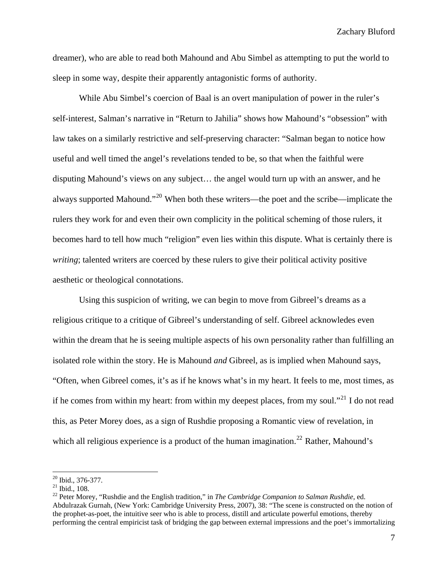dreamer), who are able to read both Mahound and Abu Simbel as attempting to put the world to sleep in some way, despite their apparently antagonistic forms of authority.

While Abu Simbel's coercion of Baal is an overt manipulation of power in the ruler's self-interest, Salman's narrative in "Return to Jahilia" shows how Mahound's "obsession" with law takes on a similarly restrictive and self-preserving character: "Salman began to notice how useful and well timed the angel's revelations tended to be, so that when the faithful were disputing Mahound's views on any subject… the angel would turn up with an answer, and he always supported Mahound."[20](#page-7-0) When both these writers—the poet and the scribe—implicate the rulers they work for and even their own complicity in the political scheming of those rulers, it becomes hard to tell how much "religion" even lies within this dispute. What is certainly there is *writing*; talented writers are coerced by these rulers to give their political activity positive aesthetic or theological connotations.

Using this suspicion of writing, we can begin to move from Gibreel's dreams as a religious critique to a critique of Gibreel's understanding of self. Gibreel acknowledes even within the dream that he is seeing multiple aspects of his own personality rather than fulfilling an isolated role within the story. He is Mahound *and* Gibreel, as is implied when Mahound says, "Often, when Gibreel comes, it's as if he knows what's in my heart. It feels to me, most times, as if he comes from within my heart: from within my deepest places, from my soul."<sup>[21](#page-7-1)</sup> I do not read this, as Peter Morey does, as a sign of Rushdie proposing a Romantic view of revelation, in which all religious experience is a product of the human imagination.<sup>[22](#page-7-2)</sup> Rather, Mahound's

<span id="page-7-0"></span><sup>20</sup> Ibid., 376-377.

<span id="page-7-1"></span> $21$  Ibid., 108.

<span id="page-7-2"></span><sup>22</sup> Peter Morey, "Rushdie and the English tradition," in *The Cambridge Companion to Salman Rushdie*, ed. Abdulrazak Gurnah, (New York: Cambridge University Press, 2007), 38: "The scene is constructed on the notion of the prophet-as-poet, the intuitive seer who is able to process, distill and articulate powerful emotions, thereby performing the central empiricist task of bridging the gap between external impressions and the poet's immortalizing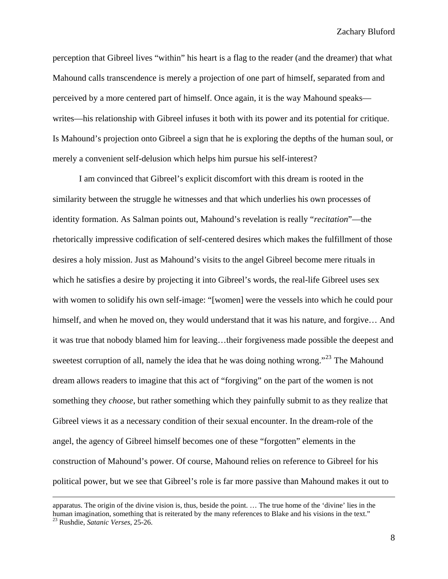perception that Gibreel lives "within" his heart is a flag to the reader (and the dreamer) that what Mahound calls transcendence is merely a projection of one part of himself, separated from and perceived by a more centered part of himself. Once again, it is the way Mahound speaks writes—his relationship with Gibreel infuses it both with its power and its potential for critique. Is Mahound's projection onto Gibreel a sign that he is exploring the depths of the human soul, or merely a convenient self-delusion which helps him pursue his self-interest?

I am convinced that Gibreel's explicit discomfort with this dream is rooted in the similarity between the struggle he witnesses and that which underlies his own processes of identity formation. As Salman points out, Mahound's revelation is really "*recitation*"—the rhetorically impressive codification of self-centered desires which makes the fulfillment of those desires a holy mission. Just as Mahound's visits to the angel Gibreel become mere rituals in which he satisfies a desire by projecting it into Gibreel's words, the real-life Gibreel uses sex with women to solidify his own self-image: "[women] were the vessels into which he could pour himself, and when he moved on, they would understand that it was his nature, and forgive... And it was true that nobody blamed him for leaving…their forgiveness made possible the deepest and sweetest corruption of all, namely the idea that he was doing nothing wrong."<sup>[23](#page-8-0)</sup> The Mahound dream allows readers to imagine that this act of "forgiving" on the part of the women is not something they *choose*, but rather something which they painfully submit to as they realize that Gibreel views it as a necessary condition of their sexual encounter. In the dream-role of the angel, the agency of Gibreel himself becomes one of these "forgotten" elements in the construction of Mahound's power. Of course, Mahound relies on reference to Gibreel for his political power, but we see that Gibreel's role is far more passive than Mahound makes it out to

<span id="page-8-0"></span>apparatus. The origin of the divine vision is, thus, beside the point. … The true home of the 'divine' lies in the human imagination, something that is reiterated by the many references to Blake and his visions in the text." 23 Rushdie, *Satanic Verses*, 25-26.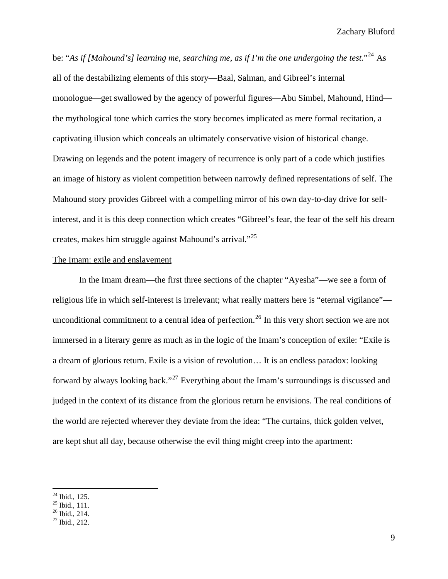be: "*As if [Mahound's] learning me, searching me, as if I'm the one undergoing the test.*"[24](#page-9-0) As all of the destabilizing elements of this story—Baal, Salman, and Gibreel's internal monologue—get swallowed by the agency of powerful figures—Abu Simbel, Mahound, Hind the mythological tone which carries the story becomes implicated as mere formal recitation, a captivating illusion which conceals an ultimately conservative vision of historical change. Drawing on legends and the potent imagery of recurrence is only part of a code which justifies an image of history as violent competition between narrowly defined representations of self. The Mahound story provides Gibreel with a compelling mirror of his own day-to-day drive for selfinterest, and it is this deep connection which creates "Gibreel's fear, the fear of the self his dream creates, makes him struggle against Mahound's arrival."[25](#page-9-1)

#### The Imam: exile and enslavement

 In the Imam dream—the first three sections of the chapter "Ayesha"—we see a form of religious life in which self-interest is irrelevant; what really matters here is "eternal vigilance"— unconditional commitment to a central idea of perfection.<sup>[26](#page-9-2)</sup> In this very short section we are not immersed in a literary genre as much as in the logic of the Imam's conception of exile: "Exile is a dream of glorious return. Exile is a vision of revolution… It is an endless paradox: looking forward by always looking back."[27](#page-9-3) Everything about the Imam's surroundings is discussed and judged in the context of its distance from the glorious return he envisions. The real conditions of the world are rejected wherever they deviate from the idea: "The curtains, thick golden velvet, are kept shut all day, because otherwise the evil thing might creep into the apartment:

<span id="page-9-0"></span> $^{24}$  Ibid., 125.

<span id="page-9-1"></span> $25$  Ibid., 111.

<span id="page-9-2"></span> $26$  Ibid., 214.

<span id="page-9-3"></span> $27$  Ibid., 212.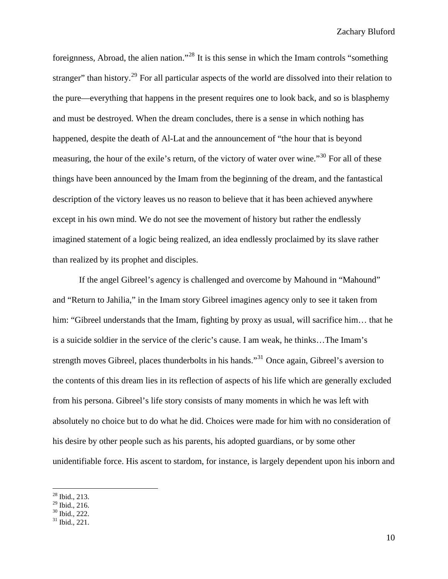foreignness, Abroad, the alien nation."[28](#page-10-0) It is this sense in which the Imam controls "something stranger" than history.<sup>[29](#page-10-1)</sup> For all particular aspects of the world are dissolved into their relation to the pure—everything that happens in the present requires one to look back, and so is blasphemy and must be destroyed. When the dream concludes, there is a sense in which nothing has happened, despite the death of Al-Lat and the announcement of "the hour that is beyond measuring, the hour of the exile's return, of the victory of water over wine."<sup>[30](#page-10-2)</sup> For all of these things have been announced by the Imam from the beginning of the dream, and the fantastical description of the victory leaves us no reason to believe that it has been achieved anywhere except in his own mind. We do not see the movement of history but rather the endlessly imagined statement of a logic being realized, an idea endlessly proclaimed by its slave rather than realized by its prophet and disciples.

If the angel Gibreel's agency is challenged and overcome by Mahound in "Mahound" and "Return to Jahilia," in the Imam story Gibreel imagines agency only to see it taken from him: "Gibreel understands that the Imam, fighting by proxy as usual, will sacrifice him... that he is a suicide soldier in the service of the cleric's cause. I am weak, he thinks…The Imam's strength moves Gibreel, places thunderbolts in his hands."<sup>[31](#page-10-3)</sup> Once again, Gibreel's aversion to the contents of this dream lies in its reflection of aspects of his life which are generally excluded from his persona. Gibreel's life story consists of many moments in which he was left with absolutely no choice but to do what he did. Choices were made for him with no consideration of his desire by other people such as his parents, his adopted guardians, or by some other unidentifiable force. His ascent to stardom, for instance, is largely dependent upon his inborn and

 $^{28}$  Ibid., 213.

<span id="page-10-2"></span><span id="page-10-1"></span><span id="page-10-0"></span> $29$  Ibid., 216.

<sup>30</sup> Ibid., 222.

<span id="page-10-3"></span> $31$  Ibid., 221.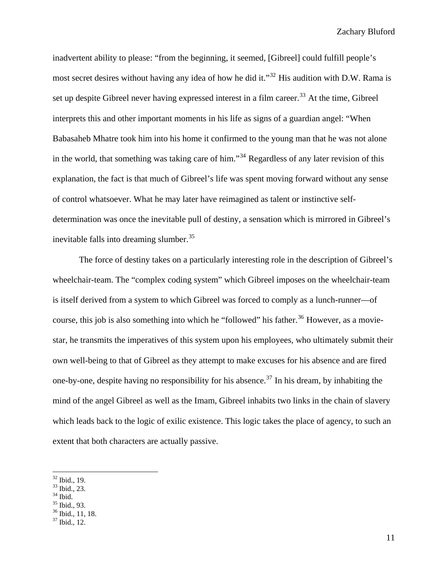inadvertent ability to please: "from the beginning, it seemed, [Gibreel] could fulfill people's most secret desires without having any idea of how he did it."<sup>[32](#page-11-0)</sup> His audition with D.W. Rama is set up despite Gibreel never having expressed interest in a film career.<sup>[33](#page-11-1)</sup> At the time, Gibreel interprets this and other important moments in his life as signs of a guardian angel: "When Babasaheb Mhatre took him into his home it confirmed to the young man that he was not alone in the world, that something was taking care of him."[34](#page-11-2) Regardless of any later revision of this explanation, the fact is that much of Gibreel's life was spent moving forward without any sense of control whatsoever. What he may later have reimagined as talent or instinctive selfdetermination was once the inevitable pull of destiny, a sensation which is mirrored in Gibreel's inevitable falls into dreaming slumber.<sup>[35](#page-11-3)</sup>

The force of destiny takes on a particularly interesting role in the description of Gibreel's wheelchair-team. The "complex coding system" which Gibreel imposes on the wheelchair-team is itself derived from a system to which Gibreel was forced to comply as a lunch-runner—of course, this job is also something into which he "followed" his father.<sup>[36](#page-11-4)</sup> However, as a moviestar, he transmits the imperatives of this system upon his employees, who ultimately submit their own well-being to that of Gibreel as they attempt to make excuses for his absence and are fired one-by-one, despite having no responsibility for his absence.<sup>[37](#page-11-5)</sup> In his dream, by inhabiting the mind of the angel Gibreel as well as the Imam, Gibreel inhabits two links in the chain of slavery which leads back to the logic of exilic existence. This logic takes the place of agency, to such an extent that both characters are actually passive.

<span id="page-11-1"></span><span id="page-11-0"></span>33 Ibid., 23.

 $32$  Ibid., 19.

<span id="page-11-2"></span> $34$  Ibid.

<sup>35</sup> Ibid., 93.

<span id="page-11-4"></span><span id="page-11-3"></span> $\frac{36}{\pi}$  Ibid., 11, 18.

<span id="page-11-5"></span> $37$  Ibid., 12.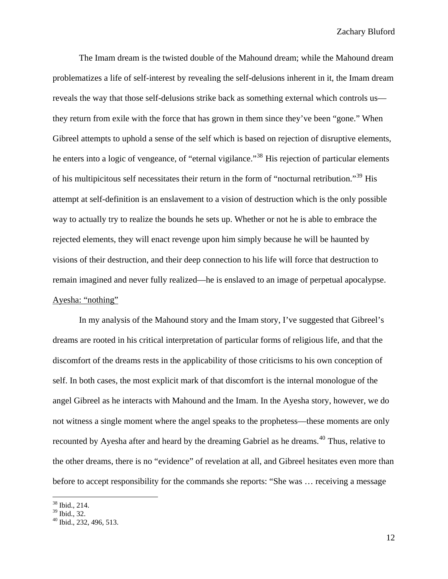The Imam dream is the twisted double of the Mahound dream; while the Mahound dream problematizes a life of self-interest by revealing the self-delusions inherent in it, the Imam dream reveals the way that those self-delusions strike back as something external which controls us they return from exile with the force that has grown in them since they've been "gone." When Gibreel attempts to uphold a sense of the self which is based on rejection of disruptive elements, he enters into a logic of vengeance, of "eternal vigilance."<sup>[38](#page-12-0)</sup> His rejection of particular elements of his multipicitous self necessitates their return in the form of "nocturnal retribution."<sup>[39](#page-12-1)</sup> His attempt at self-definition is an enslavement to a vision of destruction which is the only possible way to actually try to realize the bounds he sets up. Whether or not he is able to embrace the rejected elements, they will enact revenge upon him simply because he will be haunted by visions of their destruction, and their deep connection to his life will force that destruction to remain imagined and never fully realized—he is enslaved to an image of perpetual apocalypse. Ayesha: "nothing"

 In my analysis of the Mahound story and the Imam story, I've suggested that Gibreel's dreams are rooted in his critical interpretation of particular forms of religious life, and that the discomfort of the dreams rests in the applicability of those criticisms to his own conception of self. In both cases, the most explicit mark of that discomfort is the internal monologue of the angel Gibreel as he interacts with Mahound and the Imam. In the Ayesha story, however, we do not witness a single moment where the angel speaks to the prophetess—these moments are only recounted by Ayesha after and heard by the dreaming Gabriel as he dreams.<sup>[40](#page-12-2)</sup> Thus, relative to the other dreams, there is no "evidence" of revelation at all, and Gibreel hesitates even more than before to accept responsibility for the commands she reports: "She was … receiving a message

<span id="page-12-0"></span><sup>38</sup> Ibid., 214.

<span id="page-12-1"></span><sup>39</sup> Ibid., 32.

<span id="page-12-2"></span><sup>40</sup> Ibid., 232, 496, 513.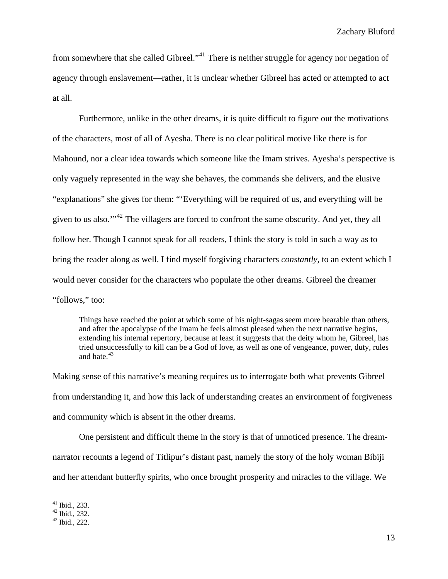from somewhere that she called Gibreel."[41](#page-13-0) There is neither struggle for agency nor negation of agency through enslavement—rather, it is unclear whether Gibreel has acted or attempted to act at all.

Furthermore, unlike in the other dreams, it is quite difficult to figure out the motivations of the characters, most of all of Ayesha. There is no clear political motive like there is for Mahound, nor a clear idea towards which someone like the Imam strives. Ayesha's perspective is only vaguely represented in the way she behaves, the commands she delivers, and the elusive "explanations" she gives for them: "'Everything will be required of us, and everything will be given to us also.'"[42](#page-13-1) The villagers are forced to confront the same obscurity. And yet, they all follow her. Though I cannot speak for all readers, I think the story is told in such a way as to bring the reader along as well. I find myself forgiving characters *constantly*, to an extent which I would never consider for the characters who populate the other dreams. Gibreel the dreamer "follows," too:

Things have reached the point at which some of his night-sagas seem more bearable than others, and after the apocalypse of the Imam he feels almost pleased when the next narrative begins, extending his internal repertory, because at least it suggests that the deity whom he, Gibreel, has tried unsuccessfully to kill can be a God of love, as well as one of vengeance, power, duty, rules and hate  $43$ 

Making sense of this narrative's meaning requires us to interrogate both what prevents Gibreel from understanding it, and how this lack of understanding creates an environment of forgiveness and community which is absent in the other dreams.

 One persistent and difficult theme in the story is that of unnoticed presence. The dreamnarrator recounts a legend of Titlipur's distant past, namely the story of the holy woman Bibiji and her attendant butterfly spirits, who once brought prosperity and miracles to the village. We

 $41$  Ibid., 233.

<span id="page-13-1"></span><span id="page-13-0"></span> $42$  Ibid., 232.

<span id="page-13-2"></span><sup>43</sup> Ibid., 222.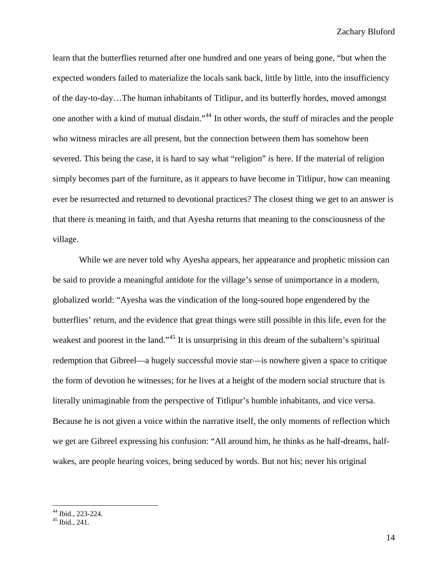learn that the butterflies returned after one hundred and one years of being gone, "but when the expected wonders failed to materialize the locals sank back, little by little, into the insufficiency of the day-to-day…The human inhabitants of Titlipur, and its butterfly hordes, moved amongst one another with a kind of mutual disdain."[44](#page-14-0) In other words, the stuff of miracles and the people who witness miracles are all present, but the connection between them has somehow been severed. This being the case, it is hard to say what "religion" *is* here. If the material of religion simply becomes part of the furniture, as it appears to have become in Titlipur, how can meaning ever be resurrected and returned to devotional practices? The closest thing we get to an answer is that there *is* meaning in faith, and that Ayesha returns that meaning to the consciousness of the village.

 While we are never told why Ayesha appears, her appearance and prophetic mission can be said to provide a meaningful antidote for the village's sense of unimportance in a modern, globalized world: "Ayesha was the vindication of the long-soured hope engendered by the butterflies' return, and the evidence that great things were still possible in this life, even for the weakest and poorest in the land."<sup>[45](#page-14-1)</sup> It is unsurprising in this dream of the subaltern's spiritual redemption that Gibreel—a hugely successful movie star—is nowhere given a space to critique the form of devotion he witnesses; for he lives at a height of the modern social structure that is literally unimaginable from the perspective of Titlipur's humble inhabitants, and vice versa. Because he is not given a voice within the narrative itself, the only moments of reflection which we get are Gibreel expressing his confusion: "All around him, he thinks as he half-dreams, halfwakes, are people hearing voices, being seduced by words. But not his; never his original

<sup>44</sup> Ibid., 223-224.

<span id="page-14-1"></span><span id="page-14-0"></span> $45$  Ibid., 241.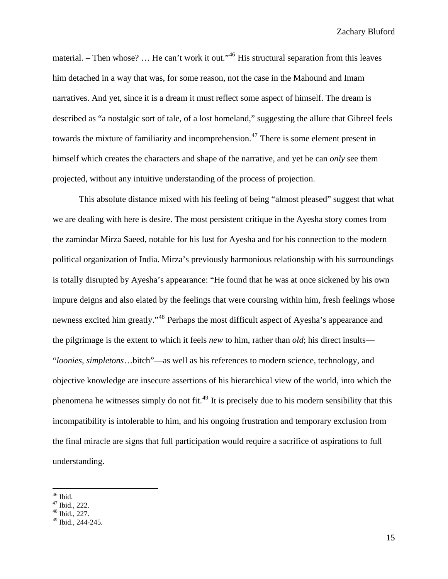material. – Then whose? ... He can't work it out."<sup>[46](#page-15-0)</sup> His structural separation from this leaves him detached in a way that was, for some reason, not the case in the Mahound and Imam narratives. And yet, since it is a dream it must reflect some aspect of himself. The dream is described as "a nostalgic sort of tale, of a lost homeland," suggesting the allure that Gibreel feels towards the mixture of familiarity and incomprehension.<sup>[47](#page-15-1)</sup> There is some element present in himself which creates the characters and shape of the narrative, and yet he can *only* see them projected, without any intuitive understanding of the process of projection.

This absolute distance mixed with his feeling of being "almost pleased" suggest that what we are dealing with here is desire. The most persistent critique in the Ayesha story comes from the zamindar Mirza Saeed, notable for his lust for Ayesha and for his connection to the modern political organization of India. Mirza's previously harmonious relationship with his surroundings is totally disrupted by Ayesha's appearance: "He found that he was at once sickened by his own impure deigns and also elated by the feelings that were coursing within him, fresh feelings whose newness excited him greatly."[48](#page-15-2) Perhaps the most difficult aspect of Ayesha's appearance and the pilgrimage is the extent to which it feels *new* to him, rather than *old*; his direct insults— "*loonies, simpletons*…bitch"—as well as his references to modern science, technology, and objective knowledge are insecure assertions of his hierarchical view of the world, into which the phenomena he witnesses simply do not fit.<sup>[49](#page-15-3)</sup> It is precisely due to his modern sensibility that this incompatibility is intolerable to him, and his ongoing frustration and temporary exclusion from the final miracle are signs that full participation would require a sacrifice of aspirations to full understanding.

 $\overline{a}$ 46 Ibid.

<span id="page-15-0"></span> $47$  Ibid., 222.

<span id="page-15-2"></span><span id="page-15-1"></span> $48$  Ibid., 227.

<span id="page-15-3"></span> $49$  Ibid., 244-245.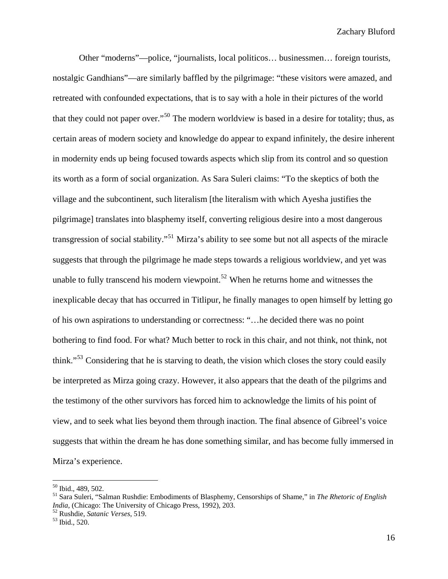Other "moderns"—police, "journalists, local politicos… businessmen… foreign tourists, nostalgic Gandhians"—are similarly baffled by the pilgrimage: "these visitors were amazed, and retreated with confounded expectations, that is to say with a hole in their pictures of the world that they could not paper over."[50](#page-16-0) The modern worldview is based in a desire for totality; thus, as certain areas of modern society and knowledge do appear to expand infinitely, the desire inherent in modernity ends up being focused towards aspects which slip from its control and so question its worth as a form of social organization. As Sara Suleri claims: "To the skeptics of both the village and the subcontinent, such literalism [the literalism with which Ayesha justifies the pilgrimage] translates into blasphemy itself, converting religious desire into a most dangerous transgression of social stability."[51](#page-16-1) Mirza's ability to see some but not all aspects of the miracle suggests that through the pilgrimage he made steps towards a religious worldview, and yet was unable to fully transcend his modern viewpoint.<sup>[52](#page-16-2)</sup> When he returns home and witnesses the inexplicable decay that has occurred in Titlipur, he finally manages to open himself by letting go of his own aspirations to understanding or correctness: "…he decided there was no point bothering to find food. For what? Much better to rock in this chair, and not think, not think, not think."[53](#page-16-3) Considering that he is starving to death, the vision which closes the story could easily be interpreted as Mirza going crazy. However, it also appears that the death of the pilgrims and the testimony of the other survivors has forced him to acknowledge the limits of his point of view, and to seek what lies beyond them through inaction. The final absence of Gibreel's voice suggests that within the dream he has done something similar, and has become fully immersed in Mirza's experience.

<span id="page-16-0"></span><sup>50</sup> Ibid., 489, 502.

<span id="page-16-1"></span><sup>51</sup> Sara Suleri, "Salman Rushdie: Embodiments of Blasphemy, Censorships of Shame," in *The Rhetoric of English India*, (Chicago: The University of Chicago Press, 1992), 203.<br><sup>52</sup> Rushdie, *Satanic Verses*, 519.<br><sup>53</sup> Ibid., 520.

<span id="page-16-2"></span>

<span id="page-16-3"></span>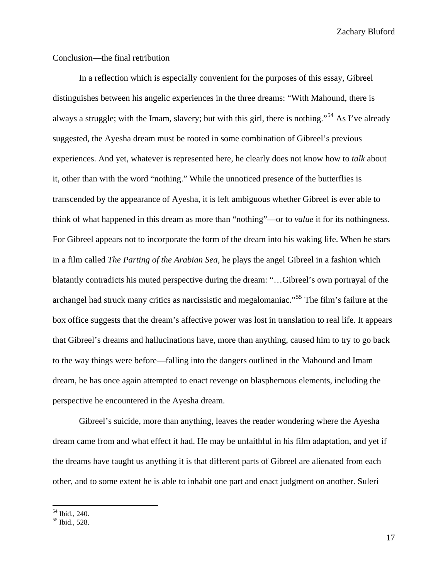## Conclusion—the final retribution

In a reflection which is especially convenient for the purposes of this essay, Gibreel distinguishes between his angelic experiences in the three dreams: "With Mahound, there is always a struggle; with the Imam, slavery; but with this girl, there is nothing."[54](#page-17-0) As I've already suggested, the Ayesha dream must be rooted in some combination of Gibreel's previous experiences. And yet, whatever is represented here, he clearly does not know how to *talk* about it, other than with the word "nothing." While the unnoticed presence of the butterflies is transcended by the appearance of Ayesha, it is left ambiguous whether Gibreel is ever able to think of what happened in this dream as more than "nothing"—or to *value* it for its nothingness. For Gibreel appears not to incorporate the form of the dream into his waking life. When he stars in a film called *The Parting of the Arabian Sea,* he plays the angel Gibreel in a fashion which blatantly contradicts his muted perspective during the dream: "…Gibreel's own portrayal of the archangel had struck many critics as narcissistic and megalomaniac."[55](#page-17-1) The film's failure at the box office suggests that the dream's affective power was lost in translation to real life. It appears that Gibreel's dreams and hallucinations have, more than anything, caused him to try to go back to the way things were before—falling into the dangers outlined in the Mahound and Imam dream, he has once again attempted to enact revenge on blasphemous elements, including the perspective he encountered in the Ayesha dream.

 Gibreel's suicide, more than anything, leaves the reader wondering where the Ayesha dream came from and what effect it had. He may be unfaithful in his film adaptation, and yet if the dreams have taught us anything it is that different parts of Gibreel are alienated from each other, and to some extent he is able to inhabit one part and enact judgment on another. Suleri

<span id="page-17-0"></span><sup>54</sup> Ibid., 240.

<span id="page-17-1"></span><sup>55</sup> Ibid., 528.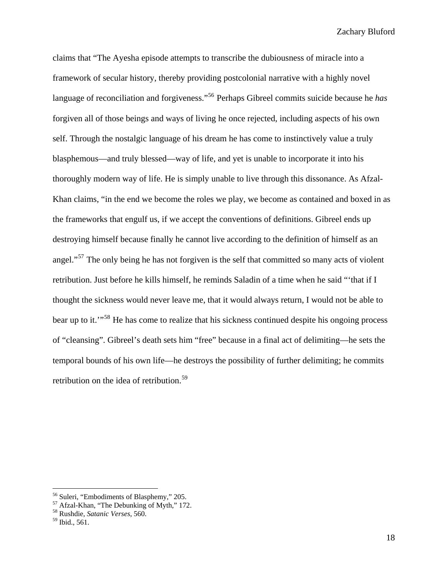claims that "The Ayesha episode attempts to transcribe the dubiousness of miracle into a framework of secular history, thereby providing postcolonial narrative with a highly novel language of reconciliation and forgiveness."[56](#page-18-0) Perhaps Gibreel commits suicide because he *has* forgiven all of those beings and ways of living he once rejected, including aspects of his own self. Through the nostalgic language of his dream he has come to instinctively value a truly blasphemous—and truly blessed—way of life, and yet is unable to incorporate it into his thoroughly modern way of life. He is simply unable to live through this dissonance. As Afzal-Khan claims, "in the end we become the roles we play, we become as contained and boxed in as the frameworks that engulf us, if we accept the conventions of definitions. Gibreel ends up destroying himself because finally he cannot live according to the definition of himself as an angel."<sup>[57](#page-18-1)</sup> The only being he has not forgiven is the self that committed so many acts of violent retribution. Just before he kills himself, he reminds Saladin of a time when he said "'that if I thought the sickness would never leave me, that it would always return, I would not be able to bear up to it."<sup>[58](#page-18-2)</sup> He has come to realize that his sickness continued despite his ongoing process of "cleansing". Gibreel's death sets him "free" because in a final act of delimiting—he sets the temporal bounds of his own life—he destroys the possibility of further delimiting; he commits retribution on the idea of retribution.<sup>59</sup>

<u>.</u>

<span id="page-18-0"></span><sup>&</sup>lt;sup>56</sup> Suleri, "Embodiments of Blasphemy," 205.

<span id="page-18-1"></span><sup>&</sup>lt;sup>57</sup> Afzal-Khan, "The Debunking of Myth," 172.

<span id="page-18-2"></span><sup>58</sup> Rushdie, *Satanic Verses*, 560.

<span id="page-18-3"></span><sup>59</sup> Ibid., 561.